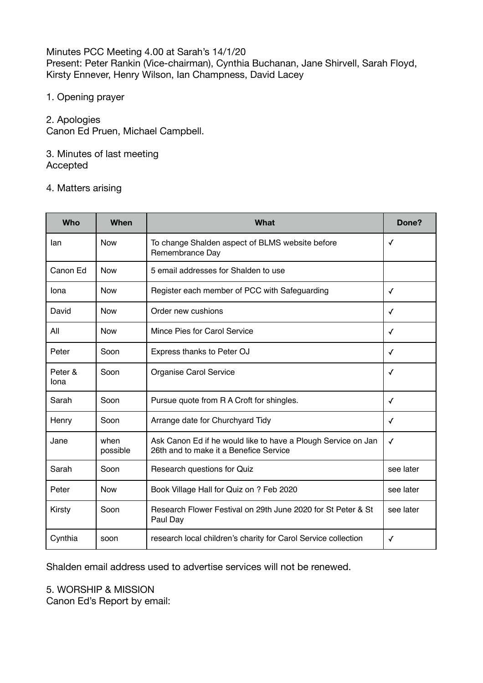Minutes PCC Meeting 4.00 at Sarah's 14/1/20 Present: Peter Rankin (Vice-chairman), Cynthia Buchanan, Jane Shirvell, Sarah Floyd, Kirsty Ennever, Henry Wilson, Ian Champness, David Lacey

1. Opening prayer

2. Apologies

Canon Ed Pruen, Michael Campbell.

### 3. Minutes of last meeting Accepted

## 4. Matters arising

| Who             | When             | What                                                                                                    | Done?        |
|-----------------|------------------|---------------------------------------------------------------------------------------------------------|--------------|
| lan             | <b>Now</b>       | To change Shalden aspect of BLMS website before<br>Remembrance Day                                      | ✓            |
| Canon Ed        | <b>Now</b>       | 5 email addresses for Shalden to use                                                                    |              |
| Iona            | <b>Now</b>       | Register each member of PCC with Safeguarding                                                           | ✓            |
| David           | <b>Now</b>       | Order new cushions                                                                                      | ✓            |
| All             | <b>Now</b>       | Mince Pies for Carol Service                                                                            | ✓            |
| Peter           | Soon             | Express thanks to Peter OJ                                                                              | ✓            |
| Peter &<br>lona | Soon             | Organise Carol Service                                                                                  | ✓            |
| Sarah           | Soon             | Pursue quote from R A Croft for shingles.                                                               | $\checkmark$ |
| Henry           | Soon             | Arrange date for Churchyard Tidy                                                                        | $\checkmark$ |
| Jane            | when<br>possible | Ask Canon Ed if he would like to have a Plough Service on Jan<br>26th and to make it a Benefice Service | $\checkmark$ |
| Sarah           | Soon             | Research questions for Quiz                                                                             | see later    |
| Peter           | <b>Now</b>       | Book Village Hall for Quiz on ? Feb 2020                                                                | see later    |
| Kirsty          | Soon             | Research Flower Festival on 29th June 2020 for St Peter & St<br>Paul Day                                | see later    |
| Cynthia         | soon             | research local children's charity for Carol Service collection                                          | ✓            |

Shalden email address used to advertise services will not be renewed.

# 5. WORSHIP & MISSION

Canon Ed's Report by email: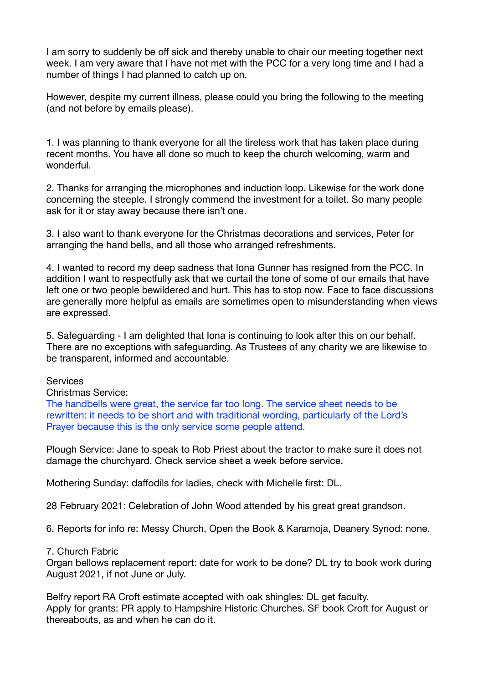I am sorry to suddenly be off sick and thereby unable to chair our meeting together next week. I am very aware that I have not met with the PCC for a very long time and I had a number of things I had planned to catch up on.

However, despite my current illness, please could you bring the following to the meeting (and not before by emails please).

1. I was planning to thank everyone for all the tireless work that has taken place during recent months. You have all done so much to keep the church welcoming, warm and wonderful.

2. Thanks for arranging the microphones and induction loop. Likewise for the work done concerning the steeple. I strongly commend the investment for a toilet. So many people ask for it or stay away because there isn't one.

3. I also want to thank everyone for the Christmas decorations and services, Peter for arranging the hand bells, and all those who arranged refreshments.

4. I wanted to record my deep sadness that Iona Gunner has resigned from the PCC. In addition I want to respectfully ask that we curtail the tone of some of our emails that have left one or two people bewildered and hurt. This has to stop now. Face to face discussions are generally more helpful as emails are sometimes open to misunderstanding when views are expressed.

5. Safeguarding - I am delighted that Iona is continuing to look after this on our behalf. There are no exceptions with safeguarding. As Trustees of any charity we are likewise to be transparent, informed and accountable.

**Services** 

Christmas Service:

The handbells were great, the service far too long. The service sheet needs to be rewritten: it needs to be short and with traditional wording, particularly of the Lord's Prayer because this is the only service some people attend.

Plough Service: Jane to speak to Rob Priest about the tractor to make sure it does not damage the churchyard. Check service sheet a week before service.

Mothering Sunday: daffodils for ladies, check with Michelle first: DL.

28 February 2021: Celebration of John Wood attended by his great great grandson.

6. Reports for info re: Messy Church, Open the Book & Karamoja, Deanery Synod: none.

7. Church Fabric

Organ bellows replacement report: date for work to be done? DL try to book work during August 2021, if not June or July.

Belfry report RA Croft estimate accepted with oak shingles: DL get faculty. Apply for grants: PR apply to Hampshire Historic Churches. SF book Croft for August or thereabouts, as and when he can do it.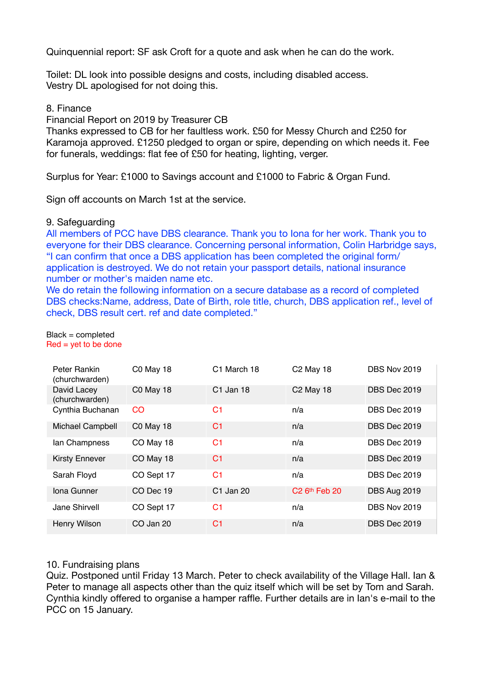Quinquennial report: SF ask Croft for a quote and ask when he can do the work.

Toilet: DL look into possible designs and costs, including disabled access. Vestry DL apologised for not doing this.

### 8. Finance

Financial Report on 2019 by Treasurer CB

Thanks expressed to CB for her faultless work. £50 for Messy Church and £250 for Karamoja approved. £1250 pledged to organ or spire, depending on which needs it. Fee for funerals, weddings: flat fee of £50 for heating, lighting, verger.

Surplus for Year: £1000 to Savings account and £1000 to Fabric & Organ Fund.

Sign off accounts on March 1st at the service.

#### 9. Safeguarding

All members of PCC have DBS clearance. Thank you to Iona for her work. Thank you to everyone for their DBS clearance. Concerning personal information, Colin Harbridge says, "I can confirm that once a DBS application has been completed the original form/ application is destroyed. We do not retain your passport details, national insurance number or mother's maiden name etc.

We do retain the following information on a secure database as a record of completed DBS checks:Name, address, Date of Birth, role title, church, DBS application ref., level of check, DBS result cert. ref and date completed."

#### Black = completed  $Red = yet to be done$

| Peter Rankin<br>(churchwarden) | C0 May 18        | C1 March 18    | C <sub>2</sub> May 18       | <b>DBS Nov 2019</b> |
|--------------------------------|------------------|----------------|-----------------------------|---------------------|
| David Lacey<br>(churchwarden)  | C0 May 18        | C1 Jan 18      | <b>C2 May 18</b>            | DBS Dec 2019        |
| Cynthia Buchanan               | <sub>CO</sub>    | C1             | n/a                         | <b>DBS</b> Dec 2019 |
| Michael Campbell               | <b>C0 May 18</b> | C1             | n/a                         | <b>DBS</b> Dec 2019 |
| lan Champness                  | CO May 18        | C1             | n/a                         | <b>DBS</b> Dec 2019 |
| <b>Kirsty Ennever</b>          | CO May 18        | C1             | n/a                         | DBS Dec 2019        |
| Sarah Floyd                    | CO Sept 17       | C <sub>1</sub> | n/a                         | <b>DBS</b> Dec 2019 |
| Iona Gunner                    | CO Dec 19        | C1 Jan 20      | $C2$ 6 <sup>th</sup> Feb 20 | DBS Aug 2019        |
| Jane Shirvell                  | CO Sept 17       | C <sub>1</sub> | n/a                         | <b>DBS Nov 2019</b> |
| Henry Wilson                   | CO Jan 20        | C1             | n/a                         | DBS Dec 2019        |

#### 10. Fundraising plans

Quiz. Postponed until Friday 13 March. Peter to check availability of the Village Hall. Ian & Peter to manage all aspects other than the quiz itself which will be set by Tom and Sarah. Cynthia kindly offered to organise a hamper raffle. Further details are in Ian's e-mail to the PCC on 15 January.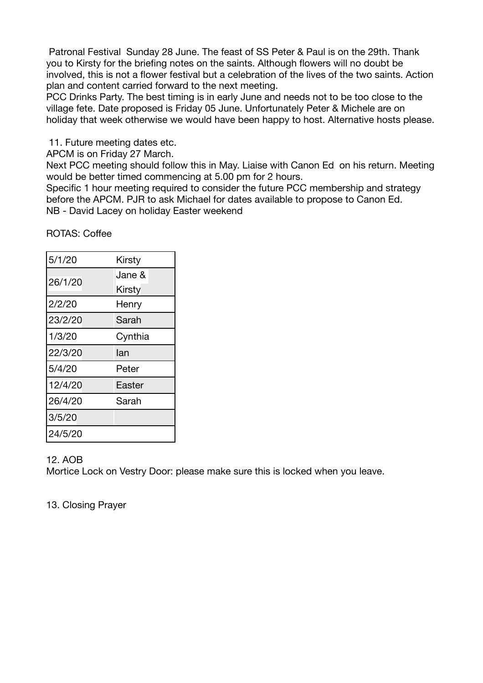Patronal Festival Sunday 28 June. The feast of SS Peter & Paul is on the 29th. Thank you to Kirsty for the briefing notes on the saints. Although flowers will no doubt be involved, this is not a flower festival but a celebration of the lives of the two saints. Action plan and content carried forward to the next meeting.

PCC Drinks Party. The best timing is in early June and needs not to be too close to the village fete. Date proposed is Friday 05 June. Unfortunately Peter & Michele are on holiday that week otherwise we would have been happy to host. Alternative hosts please.

11. Future meeting dates etc.

APCM is on Friday 27 March.

Next PCC meeting should follow this in May. Liaise with Canon Ed on his return. Meeting would be better timed commencing at 5.00 pm for 2 hours.

Specific 1 hour meeting required to consider the future PCC membership and strategy before the APCM. PJR to ask Michael for dates available to propose to Canon Ed. NB - David Lacey on holiday Easter weekend

ROTAS: Coffee

| 5/1/20  | Kirsty  |
|---------|---------|
| 26/1/20 | Jane &  |
|         | Kirsty  |
| 2/2/20  | Henry   |
| 23/2/20 | Sarah   |
| 1/3/20  | Cynthia |
|         |         |
| 22/3/20 | lan     |
| 5/4/20  | Peter   |
| 12/4/20 | Easter  |
| 26/4/20 | Sarah   |
| 3/5/20  |         |

### 12. AOB

Mortice Lock on Vestry Door: please make sure this is locked when you leave.

13. Closing Prayer